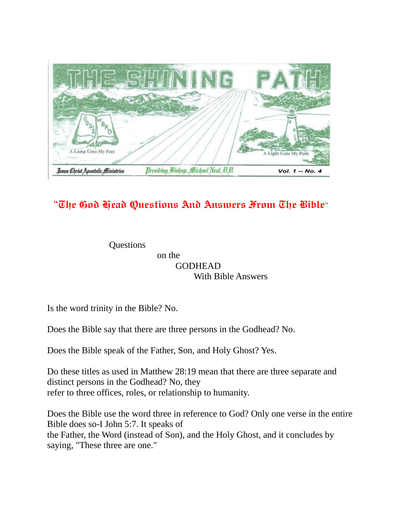

## "The God Head Questions And Answers From The Bible"

**Questions**  on the GODHEAD With Bible Answers

Is the word trinity in the Bible? No.

Does the Bible say that there are three persons in the Godhead? No.

Does the Bible speak of the Father, Son, and Holy Ghost? Yes.

Do these titles as used in Matthew 28:19 mean that there are three separate and distinct persons in the Godhead? No, they refer to three offices, roles, or relationship to humanity.

Does the Bible use the word three in reference to God? Only one verse in the entire Bible does so-I John 5:7. It speaks of the Father, the Word (instead of Son), and the Holy Ghost, and it concludes by saying, "These three are one."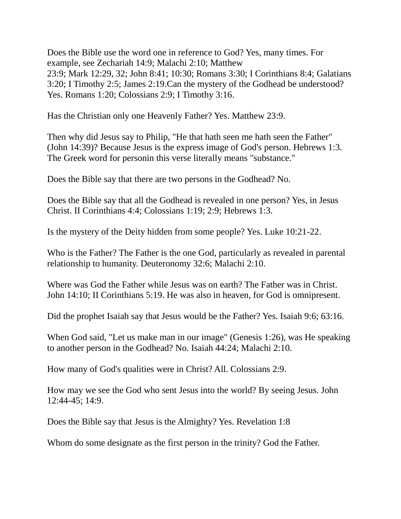Does the Bible use the word one in reference to God? Yes, many times. For example, see Zechariah 14:9; Malachi 2:10; Matthew 23:9; Mark 12:29, 32; John 8:41; 10:30; Romans 3:30; I Corinthians 8:4; Galatians 3:20; I Timothy 2:5; James 2:19.Can the mystery of the Godhead be understood? Yes. Romans 1:20; Colossians 2:9; I Timothy 3:16.

Has the Christian only one Heavenly Father? Yes. Matthew 23:9.

Then why did Jesus say to Philip, "He that hath seen me hath seen the Father" (John 14:39)? Because Jesus is the express image of God's person. Hebrews 1:3. The Greek word for personin this verse literally means "substance."

Does the Bible say that there are two persons in the Godhead? No.

Does the Bible say that all the Godhead is revealed in one person? Yes, in Jesus Christ. II Corinthians 4:4; Colossians 1:19; 2:9; Hebrews 1:3.

Is the mystery of the Deity hidden from some people? Yes. Luke 10:21-22.

Who is the Father? The Father is the one God, particularly as revealed in parental relationship to humanity. Deuteronomy 32:6; Malachi 2:10.

Where was God the Father while Jesus was on earth? The Father was in Christ. John 14:10; II Corinthians 5:19. He was also in heaven, for God is omnipresent.

Did the prophet Isaiah say that Jesus would be the Father? Yes. Isaiah 9:6; 63:16.

When God said, "Let us make man in our image" (Genesis 1:26), was He speaking to another person in the Godhead? No. Isaiah 44:24; Malachi 2:10.

How many of God's qualities were in Christ? All. Colossians 2:9.

How may we see the God who sent Jesus into the world? By seeing Jesus. John 12:44-45; 14:9.

Does the Bible say that Jesus is the Almighty? Yes. Revelation 1:8

Whom do some designate as the first person in the trinity? God the Father.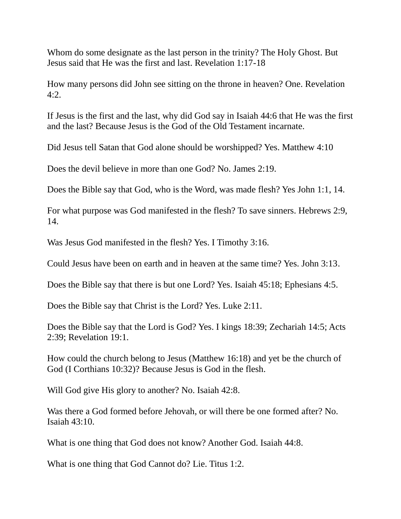Whom do some designate as the last person in the trinity? The Holy Ghost. But Jesus said that He was the first and last. Revelation 1:17-18

How many persons did John see sitting on the throne in heaven? One. Revelation 4:2.

If Jesus is the first and the last, why did God say in Isaiah 44:6 that He was the first and the last? Because Jesus is the God of the Old Testament incarnate.

Did Jesus tell Satan that God alone should be worshipped? Yes. Matthew 4:10

Does the devil believe in more than one God? No. James 2:19.

Does the Bible say that God, who is the Word, was made flesh? Yes John 1:1, 14.

For what purpose was God manifested in the flesh? To save sinners. Hebrews 2:9, 14.

Was Jesus God manifested in the flesh? Yes. I Timothy 3:16.

Could Jesus have been on earth and in heaven at the same time? Yes. John 3:13.

Does the Bible say that there is but one Lord? Yes. Isaiah 45:18; Ephesians 4:5.

Does the Bible say that Christ is the Lord? Yes. Luke 2:11.

Does the Bible say that the Lord is God? Yes. I kings 18:39; Zechariah 14:5; Acts 2:39; Revelation 19:1.

How could the church belong to Jesus (Matthew 16:18) and yet be the church of God (I Corthians 10:32)? Because Jesus is God in the flesh.

Will God give His glory to another? No. Isaiah 42:8.

Was there a God formed before Jehovah, or will there be one formed after? No. Isaiah 43:10.

What is one thing that God does not know? Another God. Isaiah 44:8.

What is one thing that God Cannot do? Lie. Titus 1:2.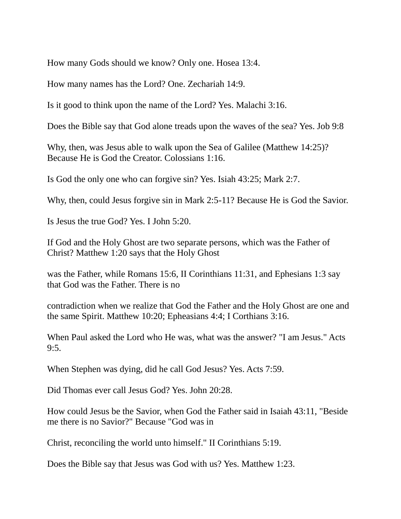How many Gods should we know? Only one. Hosea 13:4.

How many names has the Lord? One. Zechariah 14:9.

Is it good to think upon the name of the Lord? Yes. Malachi 3:16.

Does the Bible say that God alone treads upon the waves of the sea? Yes. Job 9:8

Why, then, was Jesus able to walk upon the Sea of Galilee (Matthew 14:25)? Because He is God the Creator. Colossians 1:16.

Is God the only one who can forgive sin? Yes. Isiah 43:25; Mark 2:7.

Why, then, could Jesus forgive sin in Mark 2:5-11? Because He is God the Savior.

Is Jesus the true God? Yes. I John 5:20.

If God and the Holy Ghost are two separate persons, which was the Father of Christ? Matthew 1:20 says that the Holy Ghost

was the Father, while Romans 15:6, II Corinthians 11:31, and Ephesians 1:3 say that God was the Father. There is no

contradiction when we realize that God the Father and the Holy Ghost are one and the same Spirit. Matthew 10:20; Epheasians 4:4; I Corthians 3:16.

When Paul asked the Lord who He was, what was the answer? "I am Jesus." Acts 9:5.

When Stephen was dying, did he call God Jesus? Yes. Acts 7:59.

Did Thomas ever call Jesus God? Yes. John 20:28.

How could Jesus be the Savior, when God the Father said in Isaiah 43:11, "Beside me there is no Savior?" Because "God was in

Christ, reconciling the world unto himself." II Corinthians 5:19.

Does the Bible say that Jesus was God with us? Yes. Matthew 1:23.